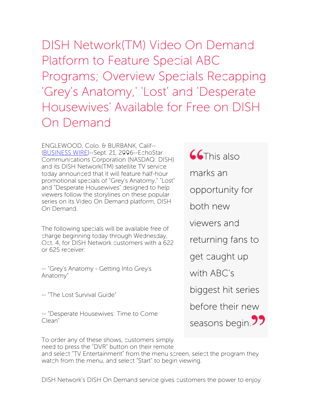DISH Network(TM) Video On Demand Platform to Feature Special ABC Programs; Overview Specials Recapping 'Grey's Anatomy,' 'Lost' and 'Desperate Housewives' Available for Free on DISH On Demand

ENGLEWOOD, Colo. & BURBANK, Calif-- [\(BUSINESS](http://www.businesswire.com/) WIRE)--Sept. 21, 2006--EchoStar Communications Corporation (NASDAQ: DISH) and its DISH Network(TM) satellite TV service today announced that it will feature half-hour promotional specials of "Grey's Anatomy," "Lost" and "Desperate Housewives" designed to help viewers follow the storylines on these popular series on its Video On Demand platform, DISH On Demand.

The following specials will be available free of charge beginning today through Wednesday, Oct. 4, for DISH Network customers with a 622 or 625 receiver:

-- "Grey's Anatomy - Getting Into Grey's Anatomy"

-- "The Lost Survival Guide"

-- "Desperate Housewives: Time to Come Clean"

**CG**This also marks an opportunity for both new viewers and returning fans to get caught up with ABC's

biggest hit series

before their new

seasons begin.<sup>77</sup>

To order any of these shows, customers simply need to press the "DVR" button on their remote

and select "TV Entertainment" from the menu screen, select the program they watch from the menu, and select "Start" to begin viewing.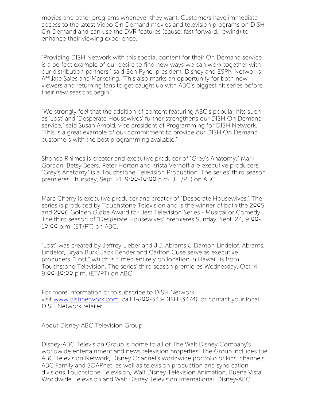movies and other programs whenever they want. Customers have immediate access to the latest Video On Demand movies and television programs on DISH On Demand and can use the DVR features (pause, fast forward, rewind) to enhance their viewing experience.

"Providing DISH Network with this special content for their On Demand service is a perfect example of our desire to find new ways we can work together with our distribution partners," said Ben Pyne, president, Disney and ESPN Networks Affiliate Sales and Marketing. "This also marks an opportunity for both new viewers and returning fans to get caught up with ABC's biggest hit series before their new seasons begin."

"We strongly feel that the addition of content featuring ABC's popular hits such as 'Lost' and 'Desperate Housewives' further strengthens our DISH On Demand service," said Susan Arnold, vice president of Programming for DISH Network. "This is a great example of our commitment to provide our DISH On Demand customers with the best programming available."

Shonda Rhimes is creator and executive producer of "Grey's Anatomy." Mark Gordon, Betsy Beers, Peter Horton and Krista Vernoff are executive producers. "Grey's Anatomy" is a Touchstone Television Production. The series' third season premieres Thursday, Sept. 21, 9:00-10:00 p.m. (ET/PT) on ABC.

Marc Cherry is executive producer and creator of "Desperate Housewives." The series is produced by Touchstone Television and is the winner of both the 2005 and 2006 Golden Globe Award for Best Television Series - Musical or Comedy. The third season of "Desperate Housewives" premieres Sunday, Sept. 24, 9:00- 10:00 p.m. (ET/PT) on ABC.

"Lost" was created by Jeffrey Lieber and J.J. Abrams & Damon Lindelof. Abrams, Lindelof, Bryan Burk, Jack Bender and Carlton Cuse serve as executive producers. "Lost," which is filmed entirely on location in Hawaii, is from Touchstone Television. The series' third season premieres Wednesday, Oct. 4, 9:00-10:00 p.m. (ET/PT) on ABC.

For more information or to subscribe to DISH Network, visit [www.dishnetwork.com](http://www.dishnetwork.com/), call 1-800-333-DISH (3474), or contact your local DISH Network retailer.

About Disney-ABC Television Group

Disney-ABC Television Group is home to all of The Walt Disney Company's worldwide entertainment and news television properties. The Group includes the ABC Television Network, Disney Channel's worldwide portfolio of kids' channels, ABC Family and SOAPnet; as well as television production and syndication divisions Touchstone Television, Walt Disney Television Animation, Buena Vista Worldwide Television and Walt Disney Television International. Disney-ABC